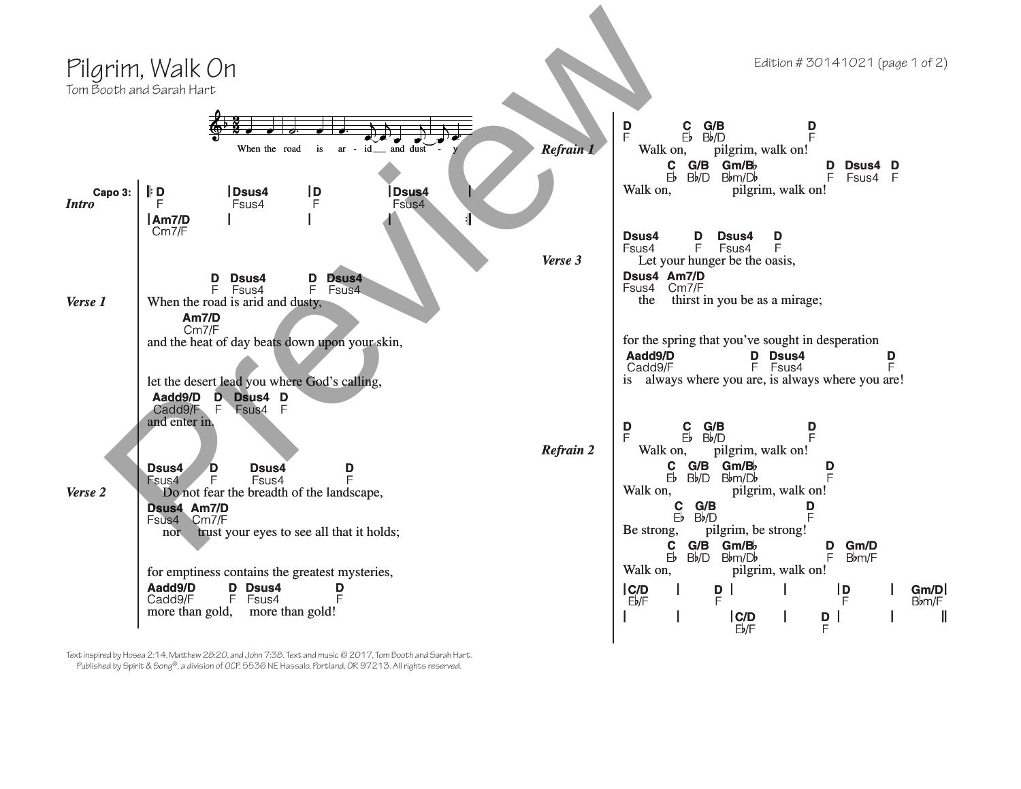

Text inspired by Hosea 2:14, Matthew 28:20, and John 7:38. Text and music © 2017, Tom Booth and Sarah Hart. Published by Spirit & Song®, a division of OCP, 5536 NE Hassalo, Portland, OR 97213. All rights reserved.